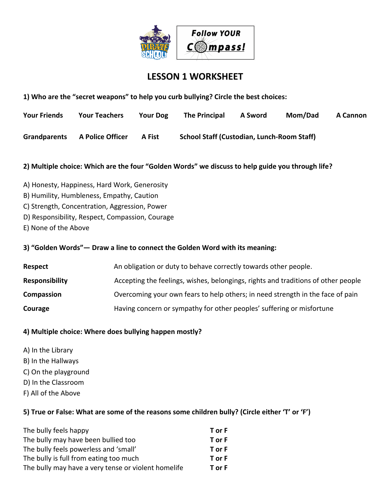

## **LESSON 1 WORKSHEET**

**1) Who are the "secret weapons" to help you curb bullying? Circle the best choices:**

| <b>Your Friends</b> | <b>Your Teachers</b>    | <b>Your Dog</b> | <b>The Principal</b>                              | A Sword | Mom/Dad | A Cannon |
|---------------------|-------------------------|-----------------|---------------------------------------------------|---------|---------|----------|
| Grandparents        | <b>A Police Officer</b> | A Fist          | <b>School Staff (Custodian, Lunch-Room Staff)</b> |         |         |          |

### **2) Multiple choice: Which are the four "Golden Words" we discuss to help guide you through life?**

- A) Honesty, Happiness, Hard Work, Generosity
- B) Humility, Humbleness, Empathy, Caution
- C) Strength, Concentration, Aggression, Power
- D) Responsibility, Respect, Compassion, Courage
- E) None of the Above

#### **3) "Golden Words"— Draw a line to connect the Golden Word with its meaning:**

| Respect               | An obligation or duty to behave correctly towards other people.                   |
|-----------------------|-----------------------------------------------------------------------------------|
| <b>Responsibility</b> | Accepting the feelings, wishes, belongings, rights and traditions of other people |
| Compassion            | Overcoming your own fears to help others; in need strength in the face of pain    |
| Courage               | Having concern or sympathy for other peoples' suffering or misfortune             |

#### **4) Multiple choice: Where does bullying happen mostly?**

- A) In the Library
- B) In the Hallways
- C) On the playground
- D) In the Classroom
- F) All of the Above

#### **5) True or False: What are some of the reasons some children bully? (Circle either 'T' or 'F')**

| The bully feels happy                               | T or F |
|-----------------------------------------------------|--------|
| The bully may have been bullied too                 | T or F |
| The bully feels powerless and 'small'               | T or F |
| The bully is full from eating too much              | T or F |
| The bully may have a very tense or violent homelife | T or F |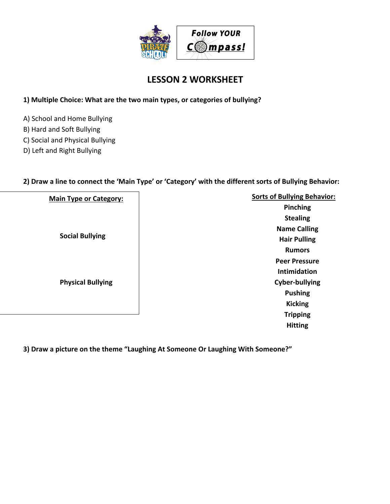

## **LESSON 2 WORKSHEET**

## **1) Multiple Choice: What are the two main types, or categories of bullying?**

- A) School and Home Bullying
- B) Hard and Soft Bullying
- C) Social and Physical Bullying
- D) Left and Right Bullying

## **2) Draw a line to connect the 'Main Type' or 'Category' with the different sorts of Bullying Behavior:**

| <b>Main Type or Category:</b> | <b>Sorts of Bullying Behavior:</b> |
|-------------------------------|------------------------------------|
|                               | Pinching                           |
|                               | <b>Stealing</b>                    |
|                               | <b>Name Calling</b>                |
| <b>Social Bullying</b>        | <b>Hair Pulling</b>                |
|                               | <b>Rumors</b>                      |
|                               | <b>Peer Pressure</b>               |
|                               | Intimidation                       |
| <b>Physical Bullying</b>      | <b>Cyber-bullying</b>              |
|                               | <b>Pushing</b>                     |
|                               | <b>Kicking</b>                     |
|                               | <b>Tripping</b>                    |
|                               | <b>Hitting</b>                     |

**3) Draw a picture on the theme "Laughing At Someone Or Laughing With Someone?"**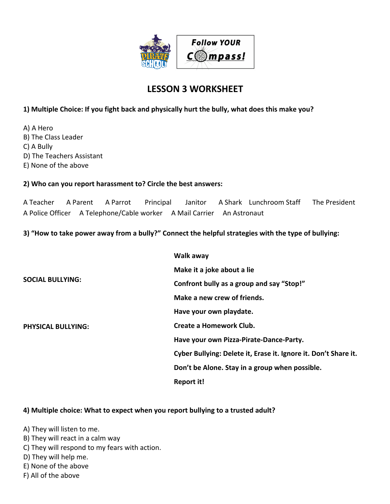

# **LESSON 3 WORKSHEET**

### **1) Multiple Choice: If you fight back and physically hurt the bully, what does this make you?**

A) A Hero B) The Class Leader C) A Bully D) The Teachers Assistant E) None of the above

#### **2) Who can you report harassment to? Circle the best answers:**

A Teacher A Parent A Parrot Principal Janitor A Shark Lunchroom Staff The President A Police Officer A Telephone/Cable worker A Mail Carrier An Astronaut

### **3) "How to take power away from a bully?" Connect the helpful strategies with the type of bullying:**

|                           | Walk away                                                       |
|---------------------------|-----------------------------------------------------------------|
|                           | Make it a joke about a lie                                      |
| <b>SOCIAL BULLYING:</b>   | Confront bully as a group and say "Stop!"                       |
|                           | Make a new crew of friends.                                     |
|                           | Have your own playdate.                                         |
| <b>PHYSICAL BULLYING:</b> | Create a Homework Club.                                         |
|                           | Have your own Pizza-Pirate-Dance-Party.                         |
|                           | Cyber Bullying: Delete it, Erase it. Ignore it. Don't Share it. |
|                           | Don't be Alone. Stay in a group when possible.                  |
|                           | Report it!                                                      |

#### **4) Multiple choice: What to expect when you report bullying to a trusted adult?**

A) They will listen to me.

- B) They will react in a calm way
- C) They will respond to my fears with action.
- D) They will help me.
- E) None of the above
- F) All of the above